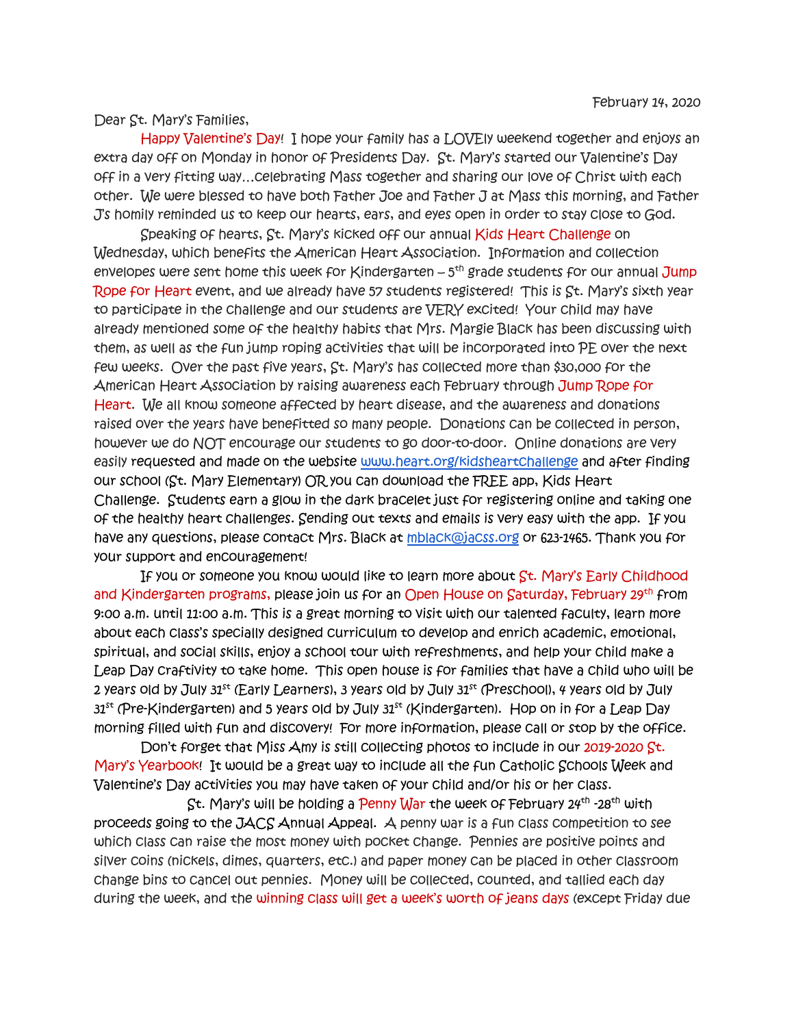Dear St. Mary's Families,

 Happy Valentine's Day! I hope your family has a LOVEly weekend together and enjoys an extra day off on Monday in honor of Presidents Day. St. Mary's started our Valentine's Day off in a very fitting way…celebrating Mass together and sharing our love of Christ with each other. We were blessed to have both Father Joe and Father J at Mass this morning, and Father J's homily reminded us to keep our hearts, ears, and eyes open in order to stay close to God.

 Speaking of hearts, St. Mary's kicked off our annual Kids Heart Challenge on Wednesday, which benefits the American Heart Association. Information and collection envelopes were sent home this week for Kindergarten - 5<sup>th</sup> grade students for our annual Jump Rope for Heart event, and we already have 57 students registered! This is St. Mary's sixth year to participate in the challenge and our students are VERY excited! Your child may have already mentioned some of the healthy habits that Mrs. Margie Black has been discussing with them, as well as the fun jump roping activities that will be incorporated into PE over the next few weeks. Over the past five years, St. Mary's has collected more than \$30,000 for the American Heart Association by raising awareness each February through Jump Rope for Heart. We all know someone affected by heart disease, and the awareness and donations raised over the years have benefitted so many people. Donations can be collected in person, however we do NOT encourage our students to go door-to-door. Online donations are very easily requested and made on the website www.heart.org/kidsheartchallenge and after finding our school (St. Mary Elementary) OR you can download the FREE app, Kids Heart Challenge. Students earn a glow in the dark bracelet just for registering online and taking one of the healthy heart challenges. Sending out texts and emails is very easy with the app. If you have any questions, please contact Mrs. Black at mblack@jacss.org or 623-1465. Thank you for your support and encouragement!

If you or someone you know would like to learn more about St. Mary's Early Childhood and Kindergarten programs, please join us for an Open House on Saturday, February 29th from 9:00 a.m. until 11:00 a.m. This is a great morning to visit with our talented faculty, learn more about each class's specially designed curriculum to develop and enrich academic, emotional, spiritual, and social skills, enjoy a school tour with refreshments, and help your child make a Leap Day craftivity to take home. This open house is for families that have a child who will be 2 years old by July  $31^{st}$  (Early Learners), 3 years old by July  $31^{st}$  (Preschool), 4 years old by July  $31<sup>st</sup>$  (Pre-Kindergarten) and 5 years old by July  $31<sup>st</sup>$  (Kindergarten). Hop on in for a Leap Day morning filled with fun and discovery! For more information, please call or stop by the office.

Don't forget that Miss Amy is still collecting photos to include in our 2019-2020 St. Mary's Yearbook! It would be a great way to include all the fun Catholic Schools Week and Valentine's Day activities you may have taken of your child and/or his or her class.

St. Mary's will be holding a Penny War the week of February  $24^{th}$  -28<sup>th</sup> with proceeds going to the JACS Annual Appeal. A penny war is a fun class competition to see which class can raise the most money with pocket change. Pennies are positive points and silver coins (nickels, dimes, quarters, etc.) and paper money can be placed in other classroom change bins to cancel out pennies. Money will be collected, counted, and tallied each day during the week, and the winning class will get a week's worth of jeans days (except Friday due